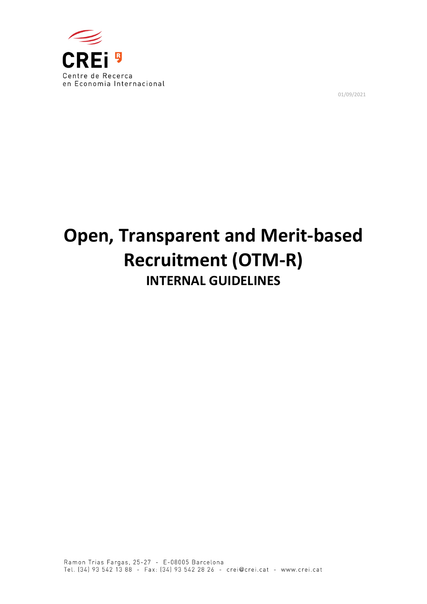

01/09/2021

# **Open, Transparent and Merit‐based Recruitment (OTM‐R) INTERNAL GUIDELINES**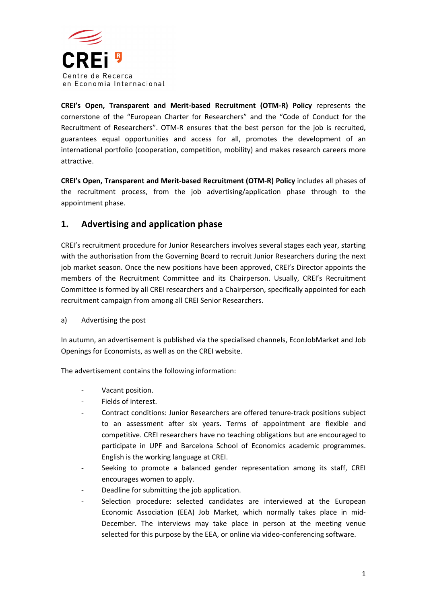

**CREI's Open, Transparent and Merit‐based Recruitment (OTM‐R) Policy** represents the cornerstone of the "European Charter for Researchers" and the "Code of Conduct for the Recruitment of Researchers". OTM‐R ensures that the best person for the job is recruited, guarantees equal opportunities and access for all, promotes the development of an international portfolio (cooperation, competition, mobility) and makes research careers more attractive.

**CREI's Open, Transparent and Merit‐based Recruitment (OTM‐R) Policy** includes all phases of the recruitment process, from the job advertising/application phase through to the appointment phase.

## **1. Advertising and application phase**

CREI's recruitment procedure for Junior Researchers involves several stages each year, starting with the authorisation from the Governing Board to recruit Junior Researchers during the next job market season. Once the new positions have been approved, CREI's Director appoints the members of the Recruitment Committee and its Chairperson. Usually, CREI's Recruitment Committee is formed by all CREI researchers and a Chairperson, specifically appointed for each recruitment campaign from among all CREI Senior Researchers.

a) Advertising the post

In autumn, an advertisement is published via the specialised channels, EconJobMarket and Job Openings for Economists, as well as on the CREI website.

The advertisement contains the following information:

- ‐ Vacant position.
- ‐ Fields of interest.
- ‐ Contract conditions: Junior Researchers are offered tenure‐track positions subject to an assessment after six years. Terms of appointment are flexible and competitive. CREI researchers have no teaching obligations but are encouraged to participate in UPF and Barcelona School of Economics academic programmes. English is the working language at CREI.
- ‐ Seeking to promote a balanced gender representation among its staff, CREI encourages women to apply.
- ‐ Deadline for submitting the job application.
- Selection procedure: selected candidates are interviewed at the European Economic Association (EEA) Job Market, which normally takes place in mid‐ December. The interviews may take place in person at the meeting venue selected for this purpose by the EEA, or online via video-conferencing software.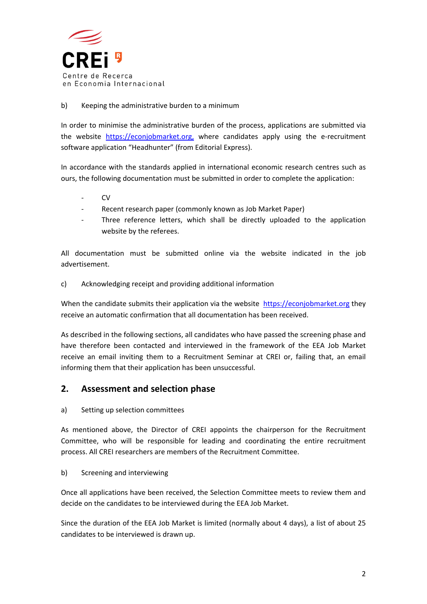

#### b) Keeping the administrative burden to a minimum

In order to minimise the administrative burden of the process, applications are submitted via the website https://econjobmarket.org, where candidates apply using the e-recruitment software application "Headhunter" (from Editorial Express).

In accordance with the standards applied in international economic research centres such as ours, the following documentation must be submitted in order to complete the application:

- ‐ CV
- ‐ Recent research paper (commonly known as Job Market Paper)
- Three reference letters, which shall be directly uploaded to the application website by the referees.

All documentation must be submitted online via the website indicated in the job advertisement.

c) Acknowledging receipt and providing additional information

When the candidate submits their application via the website https://econjobmarket.org they receive an automatic confirmation that all documentation has been received.

As described in the following sections, all candidates who have passed the screening phase and have therefore been contacted and interviewed in the framework of the EEA Job Market receive an email inviting them to a Recruitment Seminar at CREI or, failing that, an email informing them that their application has been unsuccessful.

### **2. Assessment and selection phase**

a) Setting up selection committees

As mentioned above, the Director of CREI appoints the chairperson for the Recruitment Committee, who will be responsible for leading and coordinating the entire recruitment process. All CREI researchers are members of the Recruitment Committee.

#### b) Screening and interviewing

Once all applications have been received, the Selection Committee meets to review them and decide on the candidates to be interviewed during the EEA Job Market.

Since the duration of the EEA Job Market is limited (normally about 4 days), a list of about 25 candidates to be interviewed is drawn up.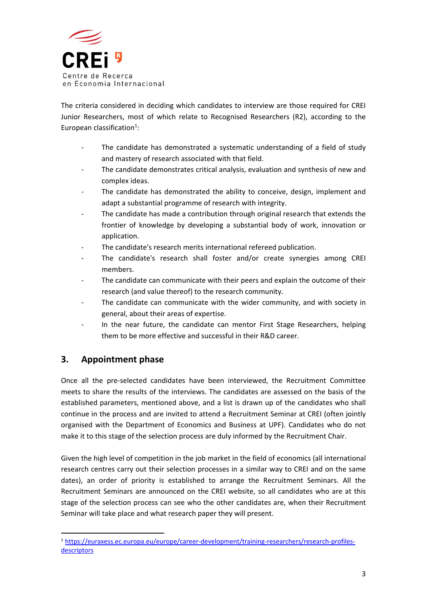

The criteria considered in deciding which candidates to interview are those required for CREI Junior Researchers, most of which relate to Recognised Researchers (R2), according to the European classification<sup>1</sup>:

- The candidate has demonstrated a systematic understanding of a field of study and mastery of research associated with that field.
- ‐ The candidate demonstrates critical analysis, evaluation and synthesis of new and complex ideas.
- The candidate has demonstrated the ability to conceive, design, implement and adapt a substantial programme of research with integrity.
- The candidate has made a contribution through original research that extends the frontier of knowledge by developing a substantial body of work, innovation or application.
- The candidate's research merits international refereed publication.
- The candidate's research shall foster and/or create synergies among CREI members.
- The candidate can communicate with their peers and explain the outcome of their research (and value thereof) to the research community.
- The candidate can communicate with the wider community, and with society in general, about their areas of expertise.
- In the near future, the candidate can mentor First Stage Researchers, helping them to be more effective and successful in their R&D career.

## **3. Appointment phase**

Once all the pre‐selected candidates have been interviewed, the Recruitment Committee meets to share the results of the interviews. The candidates are assessed on the basis of the established parameters, mentioned above, and a list is drawn up of the candidates who shall continue in the process and are invited to attend a Recruitment Seminar at CREI (often jointly organised with the Department of Economics and Business at UPF). Candidates who do not make it to this stage of the selection process are duly informed by the Recruitment Chair.

Given the high level of competition in the job market in the field of economics (all international research centres carry out their selection processes in a similar way to CREI and on the same dates), an order of priority is established to arrange the Recruitment Seminars. All the Recruitment Seminars are announced on the CREI website, so all candidates who are at this stage of the selection process can see who the other candidates are, when their Recruitment Seminar will take place and what research paper they will present.

 <sup>1</sup> https://euraxess.ec.europa.eu/europe/career‐development/training‐researchers/research‐profiles‐ descriptors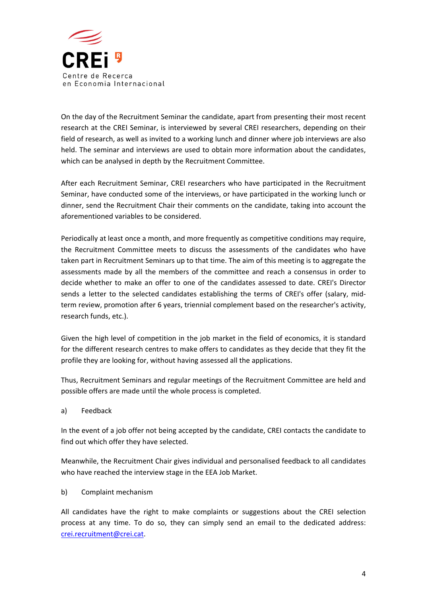

On the day of the Recruitment Seminar the candidate, apart from presenting their most recent research at the CREI Seminar, is interviewed by several CREI researchers, depending on their field of research, as well as invited to a working lunch and dinner where job interviews are also held. The seminar and interviews are used to obtain more information about the candidates, which can be analysed in depth by the Recruitment Committee.

After each Recruitment Seminar, CREI researchers who have participated in the Recruitment Seminar, have conducted some of the interviews, or have participated in the working lunch or dinner, send the Recruitment Chair their comments on the candidate, taking into account the aforementioned variables to be considered.

Periodically at least once a month, and more frequently as competitive conditions may require, the Recruitment Committee meets to discuss the assessments of the candidates who have taken part in Recruitment Seminars up to that time. The aim of this meeting is to aggregate the assessments made by all the members of the committee and reach a consensus in order to decide whether to make an offer to one of the candidates assessed to date. CREI's Director sends a letter to the selected candidates establishing the terms of CREI's offer (salary, midterm review, promotion after 6 years, triennial complement based on the researcher's activity, research funds, etc.).

Given the high level of competition in the job market in the field of economics, it is standard for the different research centres to make offers to candidates as they decide that they fit the profile they are looking for, without having assessed all the applications.

Thus, Recruitment Seminars and regular meetings of the Recruitment Committee are held and possible offers are made until the whole process is completed.

a) Feedback

In the event of a job offer not being accepted by the candidate, CREI contacts the candidate to find out which offer they have selected.

Meanwhile, the Recruitment Chair gives individual and personalised feedback to all candidates who have reached the interview stage in the EEA Job Market.

b) Complaint mechanism

All candidates have the right to make complaints or suggestions about the CREI selection process at any time. To do so, they can simply send an email to the dedicated address: crei.recruitment@crei.cat.